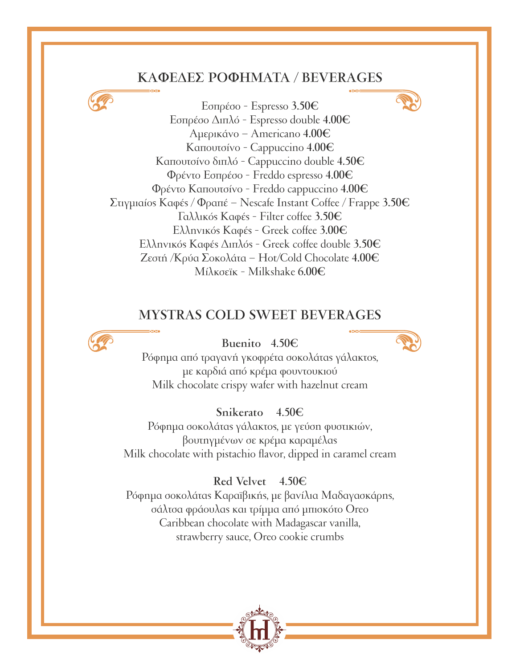#### **ΚΑΦΕΔΕΣ ΡΟΦΗΜΑΤΑ / BEVERAGES**



#### **MYSTRAS COLD SWEET BEVERAGES**



#### **Buenito 4.50€**



Ρόφηµα από τραγανή γκοφρέτα σοκολάτας γάλακτος, µε καρδιά από κρέµα φουντουκιού Milk chocolate crispy wafer with hazelnut cream

#### **Snikerato 4.50€**

Ρόφηµα σοκολάτας γάλακτος, µε γεύση φυστικιών, βουτηγµένων σε κρέµα καραµέλας Milk chocolate with pistachio flavor, dipped in caramel cream

#### **Red Velvet 4.50€**

Ρόφηµα σοκολάτας Καραϊβικής, µε βανίλια Μαδαγασκάρης, σάλτσα φράουλας και τρίµµα από µπισκότο Oreo Caribbean chocolate with Madagascar vanilla, strawberry sauce, Oreo cookie crumbs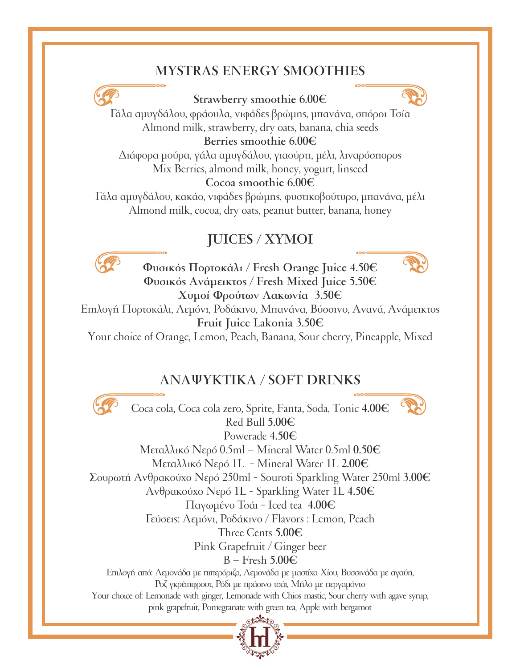# **MYSTRAS ENERGY SMOOTHIES**



#### **Strawberry smoothie 6.00€**



Γάλα αµυγδάλου, φράουλα, νιφάδες βρώµης, µπανάνα, σπόροι Τσία Almond milk, strawberry, dry oats, banana, chia seeds **Berries smoothie 6.00€**

Διάφορα µούρα, γάλα αµυγδάλου, γιαούρτι, µέλι, λιναρόσπορος Mix Berries, almond milk, honey, yogurt, linseed **Cocoa smoothie 6.00€**

Γάλα αµυγδάλου, κακάο, νιφάδες βρώµης, φυστικοβούτυρο, µπανάνα, µέλι Almond milk, cocoa, dry oats, peanut butter, banana, honey

# **JUICES / ΧΥΜΟΙ**



**Φυσικός Πορτοκάλι / Fresh Orange Juice 4.50€ Φυσικός Ανάµεικτος / Fresh Mixed Juice 5.50€ Χυµοί Φρούτων Λακωνία 3.50€**



Επιλογή Πορτοκάλι, Λεµόνι, Ροδάκινο, Μπανάνα, Βύσσινο, Ανανά, Ανάµεικτος **Fruit Juice Lakonia 3.50€**

Your choice of Orange, Lemon, Peach, Banana, Sour cherry, Pineapple, Mixed

# **ΑΝΑΨΥΚΤΙΚΑ / SOFT DRINKS**



Coca cola, Coca cola zero, Sprite, Fanta, Soda, Tonic **4.00€** Red Bull **5.00€** Powerade **4.50€**



Μεταλλικό Νερό 0.5ml – Mineral Water 0.5ml **0.50€** Μεταλλικό Νερό 1L - Mineral Water 1L **2.00€** Σουρωτή Ανθρακούχο Νερό 250ml - Souroti Sparkling Water 250ml **3.00€** Ανθρακούχο Νερό 1L - Sparkling Water 1L **4.50€** Παγωµένο Τσάι - Iced tea **4.00€** Γεύσεις: Λεµόνι, Ροδάκινο / Flavors : Lemon, Peach Three Cents **5.00€** Pink Grapefruit / Ginger beer B – Fresh **5.00€** Επιλογή από: Λεµονάδα µε πιπερόριζα, Λεµονάδα µε µαστίχα Χίου, Βυσσινάδα µε αγαύη, Ροζ γκρέιπφρουτ, Ρόδι µε πράσινο τσάι, Μήλο µε περγαµόντο Your choice of: Lemonade with ginger, Lemonade with Chios mastic, Sour cherry with agave syrup, pink grapefruit, Pomegranate with green tea, Apple with bergamot

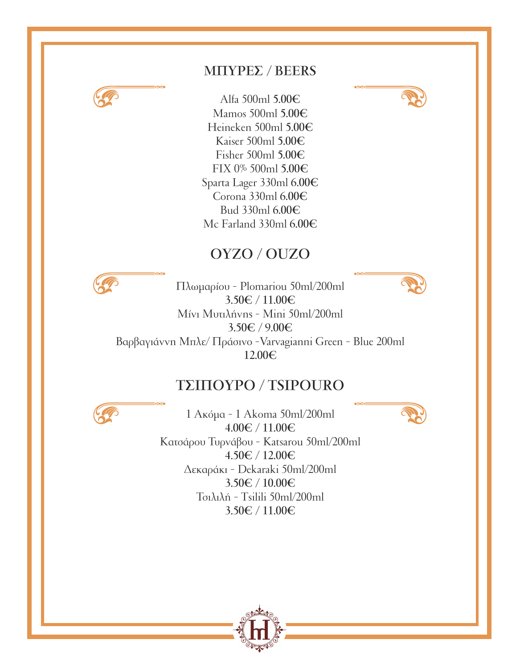

# **ΜΠΥΡΕΣ / BEERS**

Alfa 500ml **5.00€** Mamos 500ml **5.00€** Heineken 500ml **5.00€** Kaiser 500ml **5.00€** Fisher 500ml **5.00€** FIX 0% 500ml **5.00€** Sparta Lager 330ml **6.00€** Corona 330ml **6.00€** Bud 330ml **6.00€** Mc Farland 330ml **6.00€**

# **ΟΥΖΟ / OUZO**



Πλωµαρίου - Plomariou 50ml/200ml **3.50€ / 11.00€** Μίνι Μυτιλήνης - Mini 50ml/200ml **3.50€ / 9.00€** Βαρβαγιάννη Μπλε/ Πράσινο -Varvagianni Green - Blue 200ml **12.00€**

# **ΤΣΙΠΟΥΡΟ / TSIPOURO**



1 Ακόµα - 1 Akoma 50ml/200ml **4.00€ / 11.00€** Κατσάρου Τυρνάβου - Katsarou 50ml/200ml **4.50€ / 12.00€** Δεκαράκι - Dekaraki 50ml/200ml **3.50€ / 10.00€** Τσιλιλή - Tsilili 50ml/200ml **3.50€ / 11.00€**



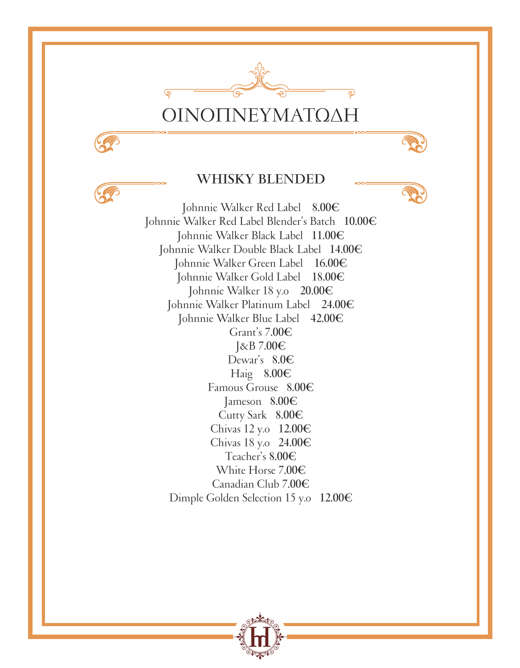

# ΟΙΝΟΠΝΕΥΜΑΤΩΔΗ

#### **WHISKY BLENDED**

Johnnie Walker Red Label **8.00€** Johnnie Walker Red Label Blender's Batch **10.00€** Johnnie Walker Black Label **11.00€** Johnnie Walker Double Black Label **14.00€** Johnnie Walker Green Label **16.00€** Johnnie Walker Gold Label **18.00€** Johnnie Walker 18 y.o **20.00€** Johnnie Walker Platinum Label **24.00€** Johnnie Walker Blue Label **42.00€** Grant's **7.00€** J&B **7.00€** Dewar's **8.0€** Haig **8.00€** Famous Grouse **8.00€** Jameson **8.00€** Cutty Sark **8.00€** Chivas 12 y.o **12.00€** Chivas 18 y.o **24.00€** Teacher's **8.00€** White Horse **7.00€** Canadian Club **7.00€** Dimple Golden Selection 15 y.o **12.00€**

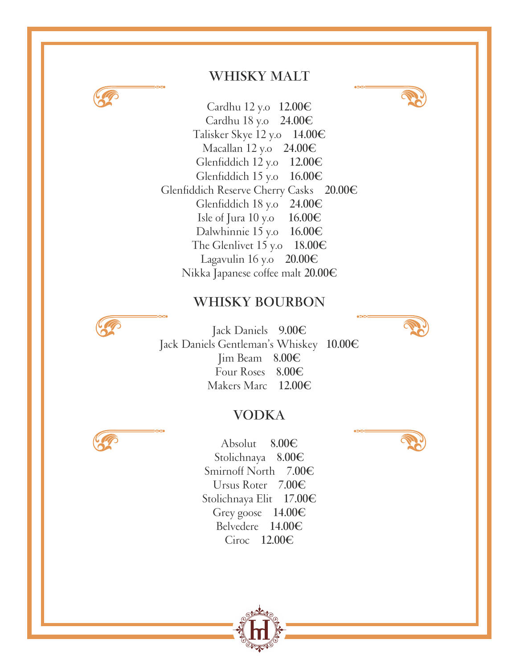

# **WHISKY MALT**

Cardhu 12 y.o **12.00€** Cardhu 18 y.o **24.00€** Talisker Skye 12 y.o **14.00€** Macallan 12 y.o **24.00€** Glenfiddich 12 y.o **12.00€** Glenfiddich 15 y.o **16.00€** Glenfiddich Reserve Cherry Casks **20.00€** Glenfiddich 18 y.o **24.00€** Isle of Jura 10 y.o **16.00€** Dalwhinnie 15 y.o **16.00€** The Glenlivet 15 y.o **18.00€** Lagavulin 16 y.o **20.00€** Nikka Japanese coffee malt **20.00€**

#### **WHISKY BOURBON**



Jack Daniels **9.00€** Jack Daniels Gentleman's Whiskey **10.00€** Jim Beam **8.00€** Four Roses **8.00€** Makers Marc **12.00€**

#### **VODKA**



Absolut **8.00€** Stolichnaya **8.00€** Smirnoff North **7.00€** Ursus Roter **7.00€** Stolichnaya Elit **17.00€** Grey goose **14.00€** Belvedere **14.00€** Ciroc **12.00€**

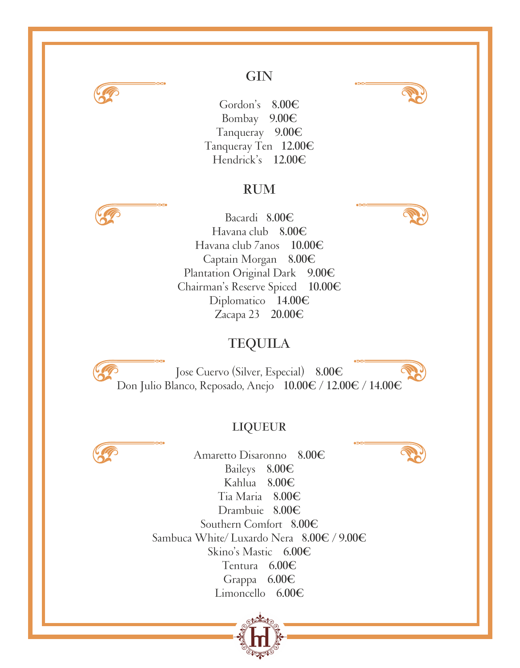

# **GIN**

Gordon's **8.00€** Bombay **9.00€** Tanqueray **9.00€** Tanqueray Ten **12.00€** Hendrick's **12.00€**

#### **RUM**



Bacardi **8.00€** Havana club **8.00€** Havana club 7anos **10.00€** Captain Morgan **8.00€** Plantation Original Dark **9.00€** Chairman's Reserve Spiced **10.00€** Diplomatico **14.00€** Zacapa 23 **20.00€**

# **TEQUILA**

Jose Cuervo (Silver, Especial) **8.00€** Don Julio Blanco, Reposado, Anejo **10.00€ / 12.00€ / 14.00€**

#### **LIQUEUR**



Amaretto Disaronno **8.00€** Baileys **8.00€** Kahlua **8.00€** Tia Maria **8.00€** Drambuie **8.00€** Southern Comfort **8.00€** Sambuca White/ Luxardo Nera **8.00€ / 9.00€** Skino's Mastic **6.00€** Tentura **6.00€** Grappa **6.00€** Limoncello **6.00€**





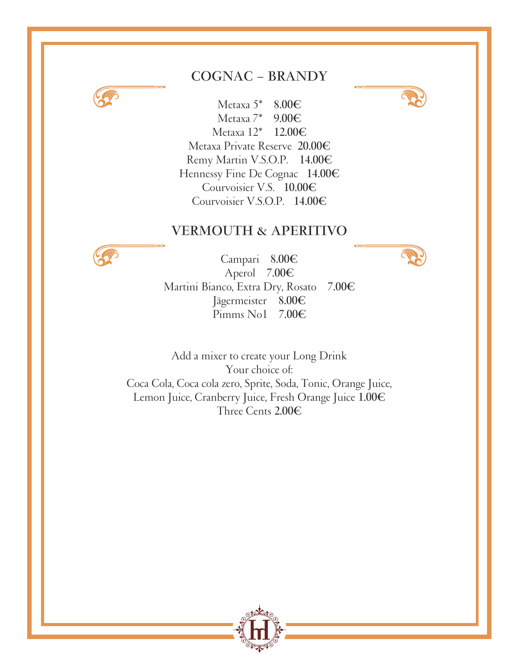### **COGNAC – BRANDY**



Metaxa 5\* **8.00€** Metaxa 7\* **9.00€** Metaxa 12\* **12.00€** Metaxa Private Reserve **20.00€** Remy Martin V.S.O.P. **14.00€** Hennessy Fine De Cognac **14.00€** Courvoisier V.S. **10.00€** Courvoisier V.S.O.P. **14.00€**

#### **VERMOUTH & APERITIVO**



Campari **8.00€** Aperol **7.00€** Martini Bianco, Extra Dry, Rosato **7.00€** Jägermeister **8.00€** Pimms No1

Add a mixer to create your Long Drink Your choice of: Coca Cola, Coca cola zero, Sprite, Soda, Tonic, Orange Juice, Lemon Juice, Cranberry Juice, Fresh Orange Juice **1.00€** Three Cents **2.00€**



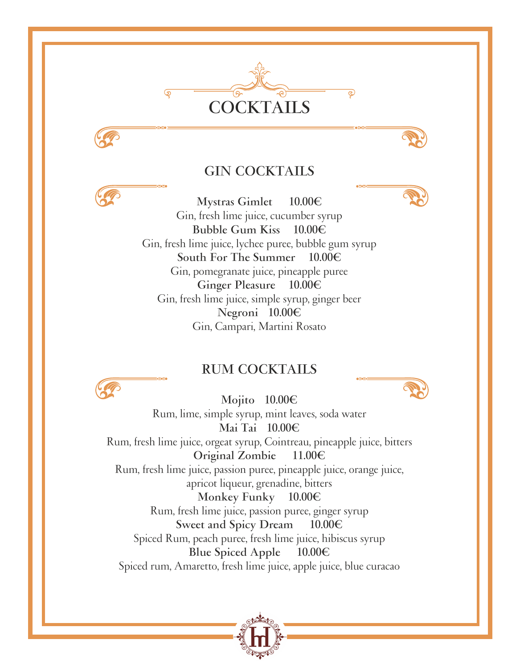

#### **GIN COCKTAILS**

**Mystras Gimlet 10.00€** Gin, fresh lime juice, cucumber syrup **Bubble Gum Kiss 10.00€** Gin, fresh lime juice, lychee puree, bubble gum syrup **South For The Summer 10.00€** Gin, pomegranate juice, pineapple puree **Ginger Pleasure 10.00€** Gin, fresh lime juice, simple syrup, ginger beer **Negroni 10.00€** Gin, Campari, Martini Rosato

#### **RUM COCKTAILS**



**Mojito 10.00€** Rum, lime, simple syrup, mint leaves, soda water **Mai Tai 10.00€** Rum, fresh lime juice, orgeat syrup, Cointreau, pineapple juice, bitters **Original Zombie 11.00€** Rum, fresh lime juice, passion puree, pineapple juice, orange juice, apricot liqueur, grenadine, bitters **Monkey Funky 10.00€** Rum, fresh lime juice, passion puree, ginger syrup **Sweet and Spicy Dream 10.00€** Spiced Rum, peach puree, fresh lime juice, hibiscus syrup

**Blue Spiced Apple 10.00€**

Spiced rum, Amaretto, fresh lime juice, apple juice, blue curacao

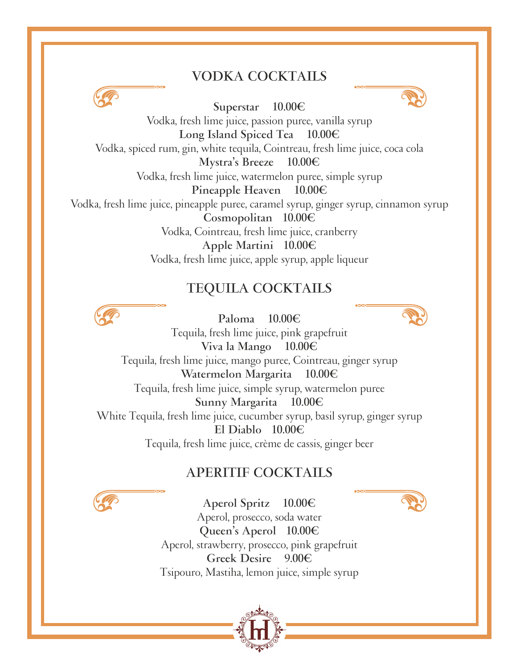#### **VODKA COCKTAILS**



**Superstar 10.00€**



Vodka, fresh lime juice, passion puree, vanilla syrup **Long Island Spiced Tea 10.00€** Vodka, spiced rum, gin, white tequila, Cointreau, fresh lime juice, coca cola **Mystra's Breeze 10.00€** Vodka, fresh lime juice, watermelon puree, simple syrup **Pineapple Heaven 10.00€** Vodka, fresh lime juice, pineapple puree, caramel syrup, ginger syrup, cinnamon syrup **Cosmopolitan 10.00€** Vodka, Cointreau, fresh lime juice, cranberry **Apple Martini 10.00€** Vodka, fresh lime juice, apple syrup, apple liqueur

#### **TEQUILA COCKTAILS**

**Paloma 10.00€**



Tequila, fresh lime juice, pink grapefruit **Viva la Mango 10.00€** Tequila, fresh lime juice, mango puree, Cointreau, ginger syrup **Watermelon Margarita 10.00€** Tequila, fresh lime juice, simple syrup, watermelon puree **Sunny Margarita 10.00€** White Tequila, fresh lime juice, cucumber syrup, basil syrup, ginger syrup **El Diablo 10.00€** Tequila, fresh lime juice, crème de cassis, ginger beer

# **APERITIF COCKTAILS**



**Aperol Spritz 10.00€** Aperol, prosecco, soda water **Queen's Aperol 10.00€** Aperol, strawberry, prosecco, pink grapefruit **Greek Desire 9.00€** Tsipouro, Mastiha, lemon juice, simple syrup

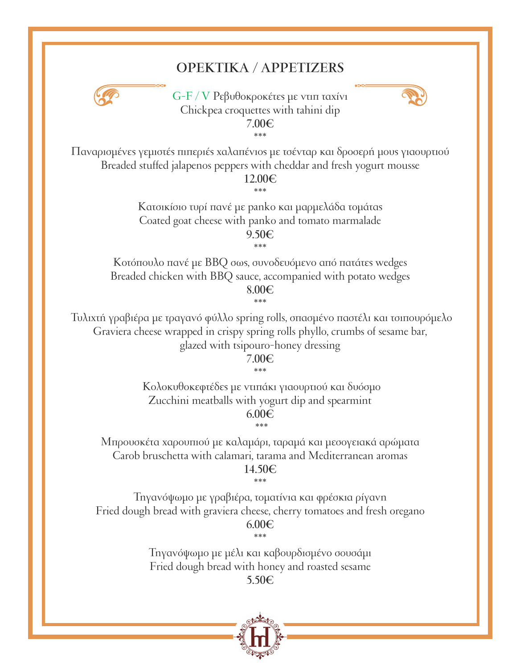# **ΟΡΕΚΤΙΚΑ / APPETIZERS**



G-F / V Ρεβυθοκροκέτες µε ντιπ ταχίνι Chickpea croquettes with tahini dip **7.00€**



\*\*\* Παναρισµένες γεµιστές πιπεριές χαλαπένιος µε τσένταρ και δροσερή µους γιαουρτιού Breaded stuffed jalapenos peppers with cheddar and fresh yogurt mousse

> **12.00€** \*\*\*

Κατσικίσιο τυρί πανέ µε panko και µαρµελάδα τοµάτας Coated goat cheese with panko and tomato marmalade **9.50€**

\*\*\*

Κοτόπουλο πανέ µε BBQ σως, συνοδευόµενο από πατάτες wedges Breaded chicken with BBQ sauce, accompanied with potato wedges

**8.00€** \*\*\*

 Τυλιχτή γραβιέρα µε τραγανό φύλλο spring rolls, σπασµένο παστέλι και τσιπουρόµελο Graviera cheese wrapped in crispy spring rolls phyllo, crumbs of sesame bar, glazed with tsipouro-honey dressing

**7.00€**

\*\*\*

 Κολοκυθοκεφτέδες µε ντιπάκι γιαουρτιού και δυόσµο Zucchini meatballs with yogurt dip and spearmint **6.00€**

Μπρουσκέτα χαρουπιού µε καλαµάρι, ταραµά και µεσογειακά αρώµατα Carob bruschetta with calamari, tarama and Mediterranean aromas

\*\*\*

#### **14.50€** \*\*\*

Τηγανόψωµο µε γραβιέρα, τοµατίνια και φρέσκια ρίγανη Fried dough bread with graviera cheese, cherry tomatoes and fresh oregano **6.00€**

\*\*\*

Τηγανόψωµο µε µέλι και καβουρδισµένο σουσάµι Fried dough bread with honey and roasted sesame **5.50€**

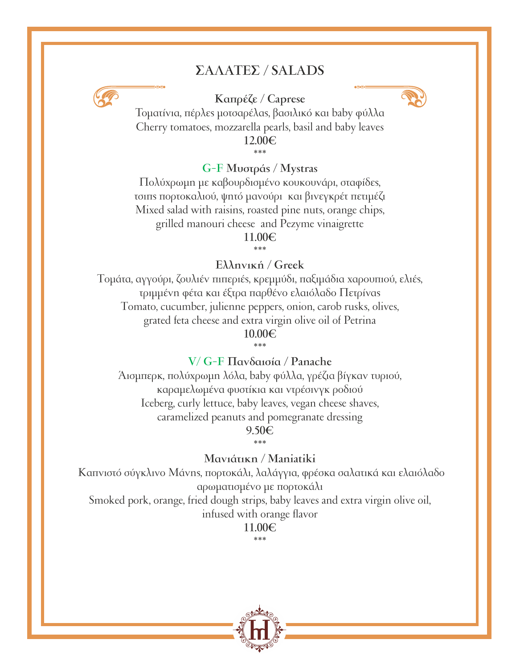# **ΣΑΛΑΤΕΣ / SALADS**



#### **Καπρέζε / Caprese**



Τοµατίνια, πέρλες µοτσαρέλας, βασιλικό και baby φύλλα Cherry tomatoes, mozzarella pearls, basil and baby leaves **12.00€**

\*\*\*

#### **G-F Μυστράς / Mystras**

Πολύχρωµη µε καβουρδισµένο κουκουνάρι, σταφίδες, τσιπς πορτοκαλιού, ψητό µανούρι και βινεγκρέτ πετιµέζι Mixed salad with raisins, roasted pine nuts, orange chips, grilled manouri cheese and Pezyme vinaigrette **11.00€**

\*\*\*

#### **Ελληνική / Greek**

Tοµάτα, αγγούρι, ζουλιέν πιπεριές, κρεµµύδι, παξιµάδια χαρουπιού, ελιές, τριµµένη φέτα και έξτρα παρθένο ελαιόλαδο Πετρίνας Tomato, cucumber, julienne peppers, onion, carob rusks, olives, grated feta cheese and extra virgin olive oil of Petrina **10.00€**

\*\*\*

#### **V/ G-F Πανδαισία / Panache**

Άισµπερκ, πολύχρωµη λόλα, baby φύλλα, γρέζια βίγκαν τυριού, καραµελωµένα φυστίκια και ντρέσινγκ ροδιού Iceberg, curly lettuce, baby leaves, vegan cheese shaves, caramelized peanuts and pomegranate dressing

**9.50€** \*\*\*

#### **Μανιάτικη / Maniatiki**

 Καπνιστό σύγκλινο Μάνης, πορτοκάλι, λαλάγγια, φρέσκα σαλατικά και ελαιόλαδο αρωµατισµένο µε πορτοκάλι Smoked pork, orange, fried dough strips, baby leaves and extra virgin olive oil,

infused with orange flavor

**11.00€**

\*\*\*

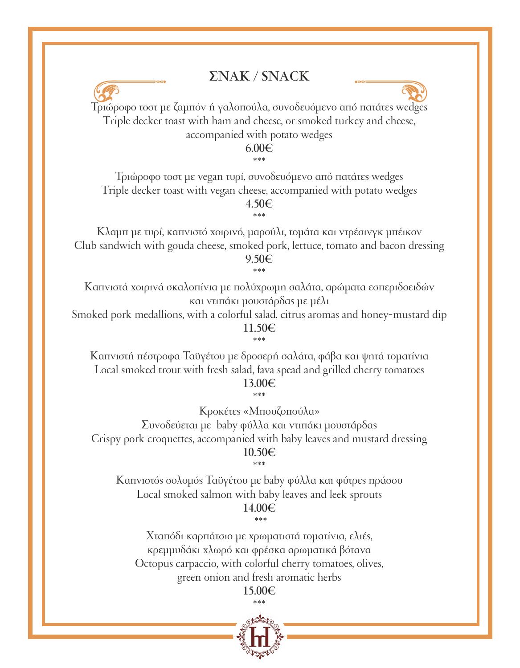## **ΣΝΑΚ / SNACK**



Τριώροφο τοστ µε ζαµπόν ή γαλοπούλα, συνοδευόµενο από πατάτες wedges Triple decker toast with ham and cheese, or smoked turkey and cheese, accompanied with potato wedges

**6.00€**

\*\*\* Τριώροφο τοστ µε vegan τυρί, συνοδευόµενο από πατάτες wedges Triple decker toast with vegan cheese, accompanied with potato wedges **4.50€**

Κλαµπ µε τυρί, καπνιστό χοιρινό, µαρούλι, τοµάτα και ντρέσινγκ µπέικον Club sandwich with gouda cheese, smoked pork, lettuce, tomato and bacon dressing **9.50€**

\*\*\*

\*\*\*

Καπνιστά χοιρινά σκαλοπίνια µε πολύχρωµη σαλάτα, αρώµατα εσπεριδοειδών και ντιπάκι µουστάρδας µε µέλι

Smoked pork medallions, with a colorful salad, citrus aromas and honey-mustard dip **11.50€**

\*\*\*

Καπνιστή πέστροφα Ταϋγέτου µε δροσερή σαλάτα, φάβα και ψητά τοµατίνια Local smoked trout with fresh salad, fava spead and grilled cherry tomatoes **13.00€**

\*\*\*

Κροκέτες «Μπουζοπούλα»

Συνοδεύεται µε baby φύλλα και ντιπάκι µουστάρδας Crispy pork croquettes, accompanied with baby leaves and mustard dressing **10.50€** \*\*\*

Καπνιστός σολοµός Ταϋγέτου µε baby φύλλα και φύτρες πράσου Local smoked salmon with baby leaves and leek sprouts

**14.00€** \*\*\*

Χταπόδι καρπάτσιο µε χρωµατιστά τοµατίνια, ελιές, κρεµµυδάκι χλωρό και φρέσκα αρωµατικά βότανα Octopus carpaccio, with colorful cherry tomatoes, olives, green onion and fresh aromatic herbs

**15.00€**

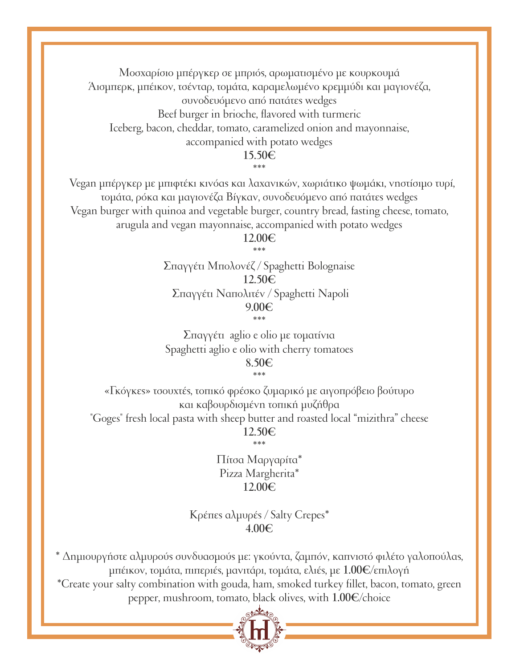Μοσχαρίσιο µπέργκερ σε µπριός, αρωµατισµένο µε κουρκουµά Άισµπερκ, µπέικον, τσένταρ, τοµάτα, καραµελωµένο κρεµµύδι και µαγιονέζα, συνοδευόµενο από πατάτες wedges Beef burger in brioche, flavored with turmeric Ιceberg, bacon, cheddar, tomato, caramelized onion and mayonnaise, accompanied with potato wedges

#### **15.50€**

\*\*\*

 Vegan µπέργκερ µε µπιφτέκι κινόας και λαχανικών, χωριάτικο ψωµάκι, νηστίσιµο τυρί, τοµάτα, ρόκα και µαγιονέζα Βίγκαν, συνοδευόµενο από πατάτες wedges Vegan burger with quinoa and vegetable burger, country bread, fasting cheese, tomato, arugula and vegan mayonnaise, accompanied with potato wedges

**12.00€** \*\*\*

Σπαγγέτι Μπολονέζ / Spaghetti Bolognaise **12.50€** Σπαγγέτι Ναπολιτέν / Spaghetti Napoli **9.00€** \*\*\*

Σπαγγέτι aglio e olio µε τοµατίνια Spaghetti aglio e olio with cherry tomatoes **8.50€**

\*\*\*

«Γκόγκες» τσουχτές, τοπικό φρέσκο ζυµαρικό µε αιγοπρόβειο βούτυρο και καβουρδισµένη τοπική µυζήθρα "Goges" fresh local pasta with sheep butter and roasted local "mizithra" cheese **12.50€**

\*\*\*

Πίτσα Μαργαρίτα\* Pizza Margherita\* **12.00€**

Κρέπες αλµυρές / Salty Crepes\* **4.00€**

\* Δηµιουργήστε αλµυρούς συνδυασµούς µε: γκούντα, ζαµπόν, καπνιστό φιλέτο γαλοπούλας, µπέικον, τοµάτα, πιπεριές, µανιτάρι, τοµάτα, ελιές, µε **1.00€**/επιλογή \*Create your salty combination with gouda, ham, smoked turkey fillet, bacon, tomato, green pepper, mushroom, tomato, black olives, with **1.00€**/choice

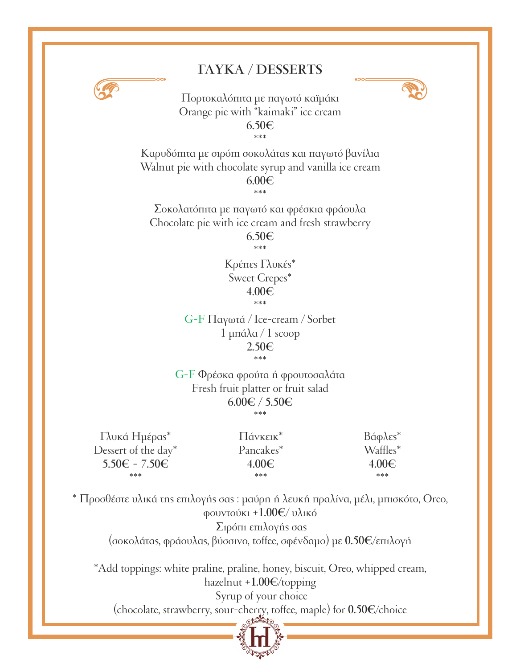# **ΓΛΥΚΑ / DESSERTS**



Πορτοκαλόπιτα µε παγωτό καϊµάκι Orange pie with "kaimaki" ice cream **6.50€** \*\*\*

Καρυδόπιτα µε σιρόπι σοκολάτας και παγωτό βανίλια Walnut pie with chocolate syrup and vanilla ice cream **6.00€**

\*\*\*

Σοκολατόπιτα µε παγωτό και φρέσκια φράουλα Chocolate pie with ice cream and fresh strawberry

> **6.50€** \*\*\*

Κρέπες Γλυκές\* Sweet Crepes\* **4.00€** \*\*\*

G-F Παγωτά / Ice-cream / Sorbet 1 µπάλα / 1 scoop **2.50€** \*\*\*

G-F Φρέσκα φρούτα ή φρουτοσαλάτα Fresh fruit platter or fruit salad **6.00€ / 5.50€** \*\*\*

Γλυκά Ηµέρας\* Dessert of the day\* **5.50€ - 7.50€** \*\*\*

Πάνκεικ\* Pancakes\* **4.00€** \*\*\*

Bάφλες\* Waffles\* **4.00€** \*\*\*

\* Προσθέστε υλικά της επιλογής σας : µαύρη ή λευκή πραλίνα, µέλι, µπισκότο, Oreo, φουντούκι **+1.00€**/ υλικό Σιρόπι επιλογής σας (σοκολάτας, φράουλας, βύσσινο, toffee, σφένδαµο) µε **0.50€**/επιλογή

\*Add toppings: white praline, praline, honey, biscuit, Oreo, whipped cream, hazelnut **+1.00€**/topping Syrup of your choice (chocolate, strawberry, sour-cherry, toffee, maple) for **0.50€**/choice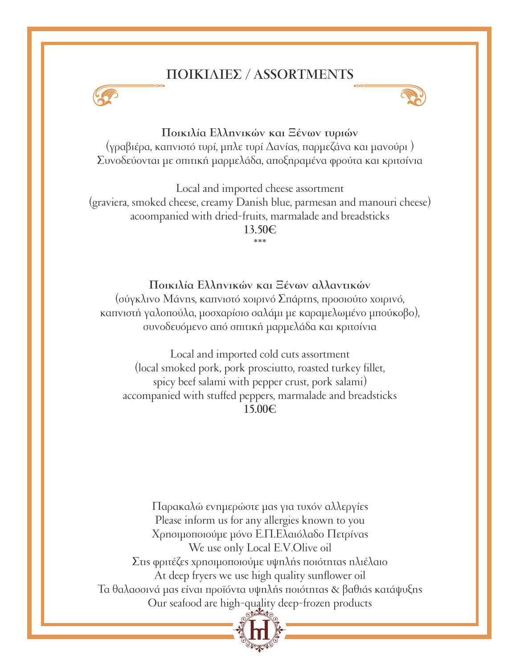# **ΠΟΙΚΙΛΙΕΣ / ASSORTMENTS**





**Ποικιλία Ελληνικών και Ξένων τυριών**  (γραβιέρα, καπνιστό τυρί, µπλε τυρί Δανίας, παρµεζάνα και µανούρι )

Συνοδεύονται µε σπιτική µαρµελάδα, αποξηραµένα φρούτα και κριτσίνια

Local and imported cheese assortment (graviera, smoked cheese, creamy Danish blue, parmesan and manouri cheese) acoompanied with dried-fruits, marmalade and breadsticks **13.50€** \*\*\*

#### **Ποικιλία Ελληνικών και Ξένων αλλαντικών**

(σύγκλινο Μάνης, καπνιστό χοιρινό Σπάρτης, προσιούτο χοιρινό, καπνιστή γαλοπούλα, µοσχαρίσιο σαλάµι µε καραµελωµένο µπούκοβο), συνοδευόµενο από σπιτική µαρµελάδα και κριτσίνια

Local and imported cold cuts assortment (local smoked pork, pork prosciutto, roasted turkey fillet, spicy beef salami with pepper crust, pork salami) accompanied with stuffed peppers, marmalade and breadsticks **15.00€**

Παρακαλώ ενηµερώστε µας για τυχόν αλλεργίες Please inform us for any allergies known to you Χρησιµοποιούµε µόνο Ε.Π.Ελαιόλαδο Πετρίνας We use only Local E.V.Olive oil Στις φριτέζες χρησιµοποιούµε υψηλής ποιότητας ηλιέλαιο At deep fryers we use high quality sunflower oil Τα θαλασσινά µας είναι προϊόντα υψηλής ποιότητας & βαθιάς κατάψυξης Our seafood are high-quality deep-frozen products